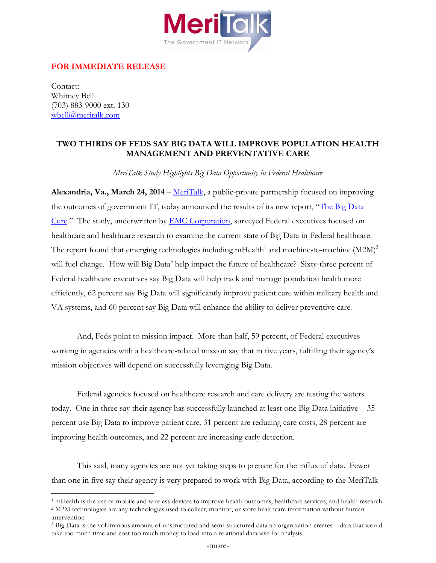

## **FOR IMMEDIATE RELEASE**

Contact: Whitney Bell (703) 883-9000 ext. 130 [wbell@meritalk.com](mailto:apasquarello@meritalk.com) 

 $\overline{a}$ 

## **TWO THIRDS OF FEDS SAY BIG DATA WILL IMPROVE POPULATION HEALTH MANAGEMENT AND PREVENTATIVE CARE**

*MeriTalk Study Highlights Big Data Opportunity in Federal Healthcare* 

**Alexandria, Va., March 24, 2014** – [MeriTalk,](http://www.meritalk.com/) a public-private partnership focused on improving the outcomes of government IT, today announced the results of its new report, "The Big Data [Cure](http://bit.ly/1j3D9Qp)." The study, underwritten by [EMC](http://www.emc.com/) Corporation, surveyed Federal executives focused on healthcare and healthcare research to examine the current state of Big Data in Federal healthcare. The report found that emerging technologies including mHealth<sup>1</sup> and machine-to-machine  $(M2M)^2$ will fuel change. How will Big Data<sup>3</sup> help impact the future of healthcare? Sixty-three percent of Federal healthcare executives say Big Data will help track and manage population health more efficiently, 62 percent say Big Data will significantly improve patient care within military health and VA systems, and 60 percent say Big Data will enhance the ability to deliver preventive care.

And, Feds point to mission impact. More than half, 59 percent, of Federal executives working in agencies with a healthcare-related mission say that in five years, fulfilling their agency's mission objectives will depend on successfully leveraging Big Data.

Federal agencies focused on healthcare research and care delivery are testing the waters today. One in three say their agency has successfully launched at least one Big Data initiative – 35 percent use Big Data to improve patient care, 31 percent are reducing care costs, 28 percent are improving health outcomes, and 22 percent are increasing early detection.

This said, many agencies are not yet taking steps to prepare for the influx of data. Fewer than one in five say their agency is very prepared to work with Big Data, according to the MeriTalk

 $<sup>1</sup>$  mHealth is the use of mobile and wireless devices to improve health outcomes, healthcare services, and health research</sup>

<sup>2</sup> M2M technologies are any technologies used to collect, monitor, or store healthcare information without human intervention

<sup>&</sup>lt;sup>3</sup> Big Data is the voluminous amount of unstructured and semi-structured data an organization creates – data that would take too much time and cost too much money to load into a relational database for analysis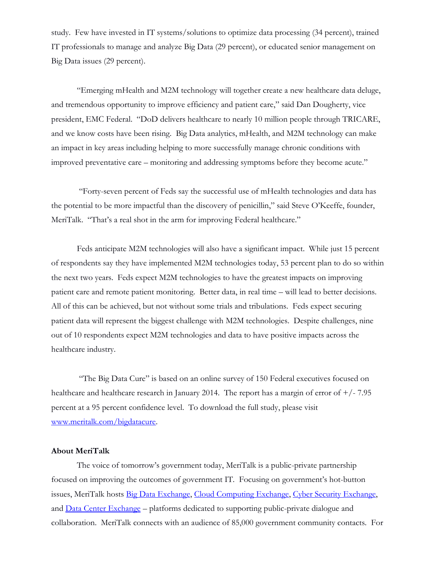study. Few have invested in IT systems/solutions to optimize data processing (34 percent), trained IT professionals to manage and analyze Big Data (29 percent), or educated senior management on Big Data issues (29 percent).

"Emerging mHealth and M2M technology will together create a new healthcare data deluge, and tremendous opportunity to improve efficiency and patient care," said Dan Dougherty, vice president, EMC Federal. "DoD delivers healthcare to nearly 10 million people through TRICARE, and we know costs have been rising. Big Data analytics, mHealth, and M2M technology can make an impact in key areas including helping to more successfully manage chronic conditions with improved preventative care – monitoring and addressing symptoms before they become acute."

"Forty-seven percent of Feds say the successful use of mHealth technologies and data has the potential to be more impactful than the discovery of penicillin," said Steve O'Keeffe, founder, MeriTalk. "That's a real shot in the arm for improving Federal healthcare."

Feds anticipate M2M technologies will also have a significant impact. While just 15 percent of respondents say they have implemented M2M technologies today, 53 percent plan to do so within the next two years. Feds expect M2M technologies to have the greatest impacts on improving patient care and remote patient monitoring. Better data, in real time – will lead to better decisions. All of this can be achieved, but not without some trials and tribulations. Feds expect securing patient data will represent the biggest challenge with M2M technologies. Despite challenges, nine out of 10 respondents expect M2M technologies and data to have positive impacts across the healthcare industry.

"The Big Data Cure" is based on an online survey of 150 Federal executives focused on healthcare and healthcare research in January 2014. The report has a margin of error of  $+/-7.95$ percent at a 95 percent confidence level. To download the full study, please visit [www.meritalk.com/bigdatacure.](http://bit.ly/1j3D9Qp)

## **About MeriTalk**

The voice of tomorrow's government today, MeriTalk is a public-private partnership focused on improving the outcomes of government IT. Focusing on government's hot-button issues, MeriTalk hosts [Big Data Exchange,](http://www.meritalk.com/bdx) [Cloud Computing Exchange,](http://meritalk.com/ccx) [Cyber Security Exchange,](http://www.meritalk.com/csx) and [Data Center Exchange](http://www.meritalk.com/dcx) – platforms dedicated to supporting public-private dialogue and collaboration. MeriTalk connects with an audience of 85,000 government community contacts. For